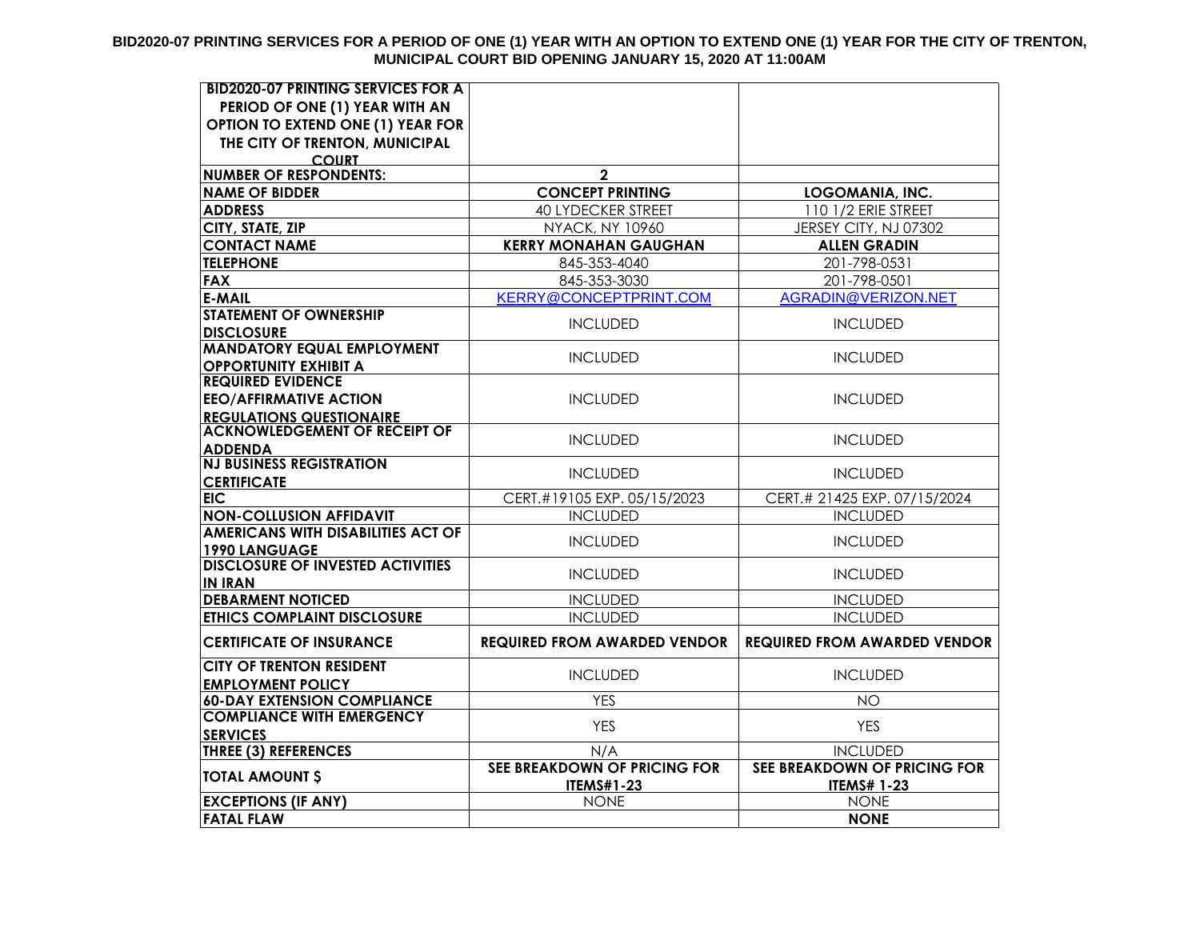#### **BID2020-07 PRINTING SERVICES FOR A PERIOD OF ONE (1) YEAR WITH AN OPTION TO EXTEND ONE (1) YEAR FOR THE CITY OF TRENTON, MUNICIPAL COURT BID OPENING JANUARY 15, 2020 AT 11:00AM**

| <b>BID2020-07 PRINTING SERVICES FOR A</b>                  |                                     |                                     |
|------------------------------------------------------------|-------------------------------------|-------------------------------------|
| PERIOD OF ONE (1) YEAR WITH AN                             |                                     |                                     |
| OPTION TO EXTEND ONE (1) YEAR FOR                          |                                     |                                     |
| THE CITY OF TRENTON, MUNICIPAL                             |                                     |                                     |
| <b>COURT</b>                                               |                                     |                                     |
| <b>NUMBER OF RESPONDENTS:</b>                              | $\mathbf{2}$                        |                                     |
| <b>NAME OF BIDDER</b>                                      | <b>CONCEPT PRINTING</b>             | <b>LOGOMANIA, INC.</b>              |
| <b>ADDRESS</b>                                             | <b>40 LYDECKER STREET</b>           | 110 1/2 ERIE STREET                 |
| CITY, STATE, ZIP                                           | <b>NYACK, NY 10960</b>              | JERSEY CITY, NJ 07302               |
| <b>CONTACT NAME</b>                                        | <b>KERRY MONAHAN GAUGHAN</b>        | <b>ALLEN GRADIN</b>                 |
| <b>TELEPHONE</b>                                           | 845-353-4040                        | 201-798-0531                        |
| <b>FAX</b>                                                 | 845-353-3030                        | 201-798-0501                        |
| <b>E-MAIL</b>                                              | KERRY@CONCEPTPRINT.COM              | AGRADIN@VERIZON.NET                 |
| <b>STATEMENT OF OWNERSHIP</b>                              | <b>INCLUDED</b>                     | <b>INCLUDED</b>                     |
| <b>DISCLOSURE</b><br><b>MANDATORY EQUAL EMPLOYMENT</b>     |                                     |                                     |
| <b>OPPORTUNITY EXHIBIT A</b>                               | <b>INCLUDED</b>                     | <b>INCLUDED</b>                     |
| <b>REQUIRED EVIDENCE</b>                                   |                                     |                                     |
| <b>EEO/AFFIRMATIVE ACTION</b>                              | <b>INCLUDED</b>                     | <b>INCLUDED</b>                     |
| <b>REGULATIONS QUESTIONAIRE</b>                            |                                     |                                     |
| <b>ACKNOWLEDGEMENT OF RECEIPT OF</b>                       | <b>INCLUDED</b>                     | <b>INCLUDED</b>                     |
| <b>ADDENDA</b><br><b>NJ BUSINESS REGISTRATION</b>          |                                     |                                     |
| <b>CERTIFICATE</b>                                         | <b>INCLUDED</b>                     | <b>INCLUDED</b>                     |
| <b>EIC</b>                                                 | CERT.#19105 EXP. 05/15/2023         | CERT.# 21425 EXP. 07/15/2024        |
| <b>NON-COLLUSION AFFIDAVIT</b>                             | <b>INCLUDED</b>                     | <b>INCLUDED</b>                     |
| <b>AMERICANS WITH DISABILITIES ACT OF</b>                  | <b>INCLUDED</b>                     | <b>INCLUDED</b>                     |
| 1990 LANGUAGE                                              |                                     |                                     |
| <b>DISCLOSURE OF INVESTED ACTIVITIES</b><br><b>IN IRAN</b> | <b>INCLUDED</b>                     | <b>INCLUDED</b>                     |
| <b>DEBARMENT NOTICED</b>                                   | <b>INCLUDED</b>                     | <b>INCLUDED</b>                     |
| <b>ETHICS COMPLAINT DISCLOSURE</b>                         | <b>INCLUDED</b>                     | <b>INCLUDED</b>                     |
|                                                            |                                     |                                     |
| <b>CERTIFICATE OF INSURANCE</b>                            | <b>REQUIRED FROM AWARDED VENDOR</b> | <b>REQUIRED FROM AWARDED VENDOR</b> |
| <b>CITY OF TRENTON RESIDENT</b>                            | <b>INCLUDED</b>                     | <b>INCLUDED</b>                     |
| <b>EMPLOYMENT POLICY</b>                                   |                                     |                                     |
| <b>60-DAY EXTENSION COMPLIANCE</b>                         | <b>YES</b>                          | <b>NO</b>                           |
| <b>COMPLIANCE WITH EMERGENCY</b><br><b>SERVICES</b>        | <b>YES</b>                          | <b>YES</b>                          |
| <b>THREE (3) REFERENCES</b>                                | N/A                                 | <b>INCLUDED</b>                     |
|                                                            | SEE BREAKDOWN OF PRICING FOR        | SEE BREAKDOWN OF PRICING FOR        |
| <b>TOTAL AMOUNT \$</b>                                     | <b>ITEMS#1-23</b>                   | <b>ITEMS# 1-23</b>                  |
| <b>EXCEPTIONS (IF ANY)</b>                                 | <b>NONE</b>                         | <b>NONE</b>                         |
| <b>FATAL FLAW</b>                                          |                                     | <b>NONE</b>                         |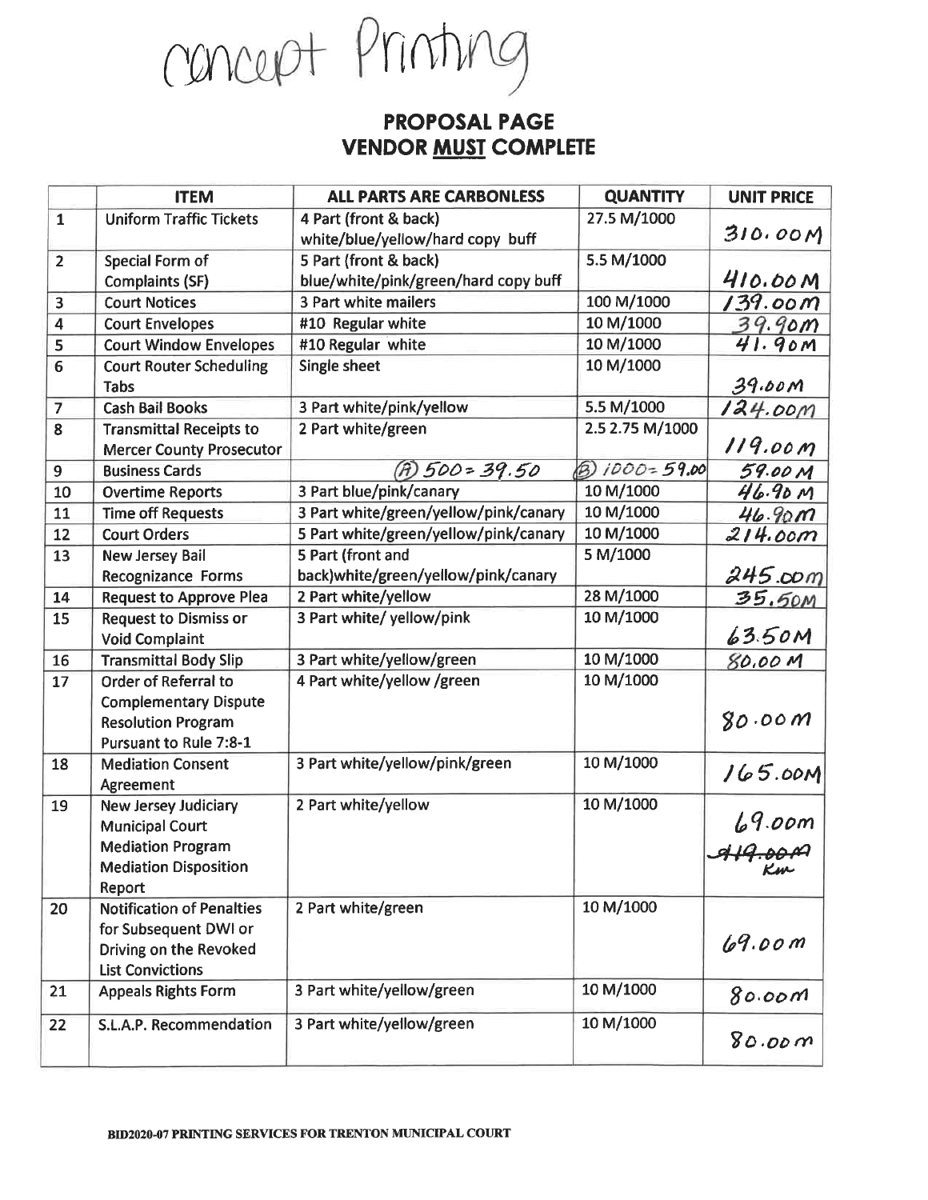concept Printing

#### **PROPOSAL PAGE VENDOR MUST COMPLETE**

| 27.5 M/1000<br><b>Uniform Traffic Tickets</b><br>$\mathbf{1}$<br>4 Part (front & back)<br>310.00M<br>white/blue/yellow/hard copy buff<br>5.5 M/1000<br>5 Part (front & back)<br>Special Form of<br>$\overline{2}$<br>410.00M<br>blue/white/pink/green/hard copy buff<br><b>Complaints (SF)</b><br>100 M/1000<br>139.00M<br><b>Court Notices</b><br><b>3 Part white mailers</b><br>3<br>10 M/1000<br>$\overline{\mathbf{4}}$<br>#10 Regular white<br>39.90m<br><b>Court Envelopes</b><br>41.90m<br>10 M/1000<br>5<br><b>Court Window Envelopes</b><br>#10 Regular white<br>$\overline{6}$<br>10 M/1000<br><b>Court Router Scheduling</b><br>Single sheet<br>39.60M<br><b>Tabs</b><br>5.5 M/1000<br><b>Cash Bail Books</b><br>3 Part white/pink/yellow<br>$\overline{7}$<br>124.00m<br>$\overline{\mathbf{8}}$<br>2.5 2.75 M/1000<br>2 Part white/green<br><b>Transmittal Receipts to</b><br>119.00 m<br><b>Mercer County Prosecutor</b><br>$1000 = 59.00$<br>$(A)$ 500 = 39.50<br>ぬ<br>59.00 M<br>9<br><b>Business Cards</b><br>10 M/1000<br>46.90M<br>3 Part blue/pink/canary<br>10<br><b>Overtime Reports</b><br>10 M/1000<br>3 Part white/green/yellow/pink/canary<br>11<br><b>Time off Requests</b><br>46.90m<br>10 M/1000<br>12<br><b>Court Orders</b><br>5 Part white/green/yellow/pink/canary<br>214.00m<br>5 M/1000<br>5 Part (front and<br>13<br><b>New Jersey Bail</b><br>245.00 <sub>m</sub><br>back)white/green/yellow/pink/canary<br><b>Recognizance Forms</b><br>28 M/1000<br>2 Part white/yellow<br>14<br><b>Request to Approve Plea</b><br>35.50M<br>10 M/1000<br><b>Request to Dismiss or</b><br>3 Part white/ yellow/pink<br>15<br>63.50M<br><b>Void Complaint</b><br>10 M/1000<br>3 Part white/yellow/green<br>16<br><b>Transmittal Body Slip</b><br>80.00 M<br>10 M/1000<br>4 Part white/yellow /green<br><b>Order of Referral to</b><br>17<br><b>Complementary Dispute</b><br>80.00m<br><b>Resolution Program</b><br><b>Pursuant to Rule 7:8-1</b><br>10 M/1000<br>3 Part white/yellow/pink/green<br>18<br><b>Mediation Consent</b><br>165.00M<br>Agreement<br>10 M/1000<br>2 Part white/yellow<br><b>New Jersey Judiciary</b><br>19<br>9.00m/<br><del>9.00000</del><br><b>Municipal Court</b><br><b>Mediation Program</b><br><b>Mediation Disposition</b><br>Km<br>Report<br>10 M/1000<br><b>Notification of Penalties</b><br>2 Part white/green<br>20<br>for Subsequent DWI or<br>69.00m<br>Driving on the Revoked<br><b>List Convictions</b><br>10 M/1000<br>3 Part white/yellow/green<br>21<br><b>Appeals Rights Form</b><br>80.00m<br>10 M/1000<br>3 Part white/yellow/green<br>S.L.A.P. Recommendation<br>80.00 m |    | <b>ITEM</b> | <b>ALL PARTS ARE CARBONLESS</b> | <b>QUANTITY</b> | <b>UNIT PRICE</b> |
|---------------------------------------------------------------------------------------------------------------------------------------------------------------------------------------------------------------------------------------------------------------------------------------------------------------------------------------------------------------------------------------------------------------------------------------------------------------------------------------------------------------------------------------------------------------------------------------------------------------------------------------------------------------------------------------------------------------------------------------------------------------------------------------------------------------------------------------------------------------------------------------------------------------------------------------------------------------------------------------------------------------------------------------------------------------------------------------------------------------------------------------------------------------------------------------------------------------------------------------------------------------------------------------------------------------------------------------------------------------------------------------------------------------------------------------------------------------------------------------------------------------------------------------------------------------------------------------------------------------------------------------------------------------------------------------------------------------------------------------------------------------------------------------------------------------------------------------------------------------------------------------------------------------------------------------------------------------------------------------------------------------------------------------------------------------------------------------------------------------------------------------------------------------------------------------------------------------------------------------------------------------------------------------------------------------------------------------------------------------------------------------------------------------------------------------------------------------------------------------------------------------------------------------------------------------------------------------------------------------------------------------------|----|-------------|---------------------------------|-----------------|-------------------|
|                                                                                                                                                                                                                                                                                                                                                                                                                                                                                                                                                                                                                                                                                                                                                                                                                                                                                                                                                                                                                                                                                                                                                                                                                                                                                                                                                                                                                                                                                                                                                                                                                                                                                                                                                                                                                                                                                                                                                                                                                                                                                                                                                                                                                                                                                                                                                                                                                                                                                                                                                                                                                                             |    |             |                                 |                 |                   |
|                                                                                                                                                                                                                                                                                                                                                                                                                                                                                                                                                                                                                                                                                                                                                                                                                                                                                                                                                                                                                                                                                                                                                                                                                                                                                                                                                                                                                                                                                                                                                                                                                                                                                                                                                                                                                                                                                                                                                                                                                                                                                                                                                                                                                                                                                                                                                                                                                                                                                                                                                                                                                                             |    |             |                                 |                 |                   |
|                                                                                                                                                                                                                                                                                                                                                                                                                                                                                                                                                                                                                                                                                                                                                                                                                                                                                                                                                                                                                                                                                                                                                                                                                                                                                                                                                                                                                                                                                                                                                                                                                                                                                                                                                                                                                                                                                                                                                                                                                                                                                                                                                                                                                                                                                                                                                                                                                                                                                                                                                                                                                                             |    |             |                                 |                 |                   |
|                                                                                                                                                                                                                                                                                                                                                                                                                                                                                                                                                                                                                                                                                                                                                                                                                                                                                                                                                                                                                                                                                                                                                                                                                                                                                                                                                                                                                                                                                                                                                                                                                                                                                                                                                                                                                                                                                                                                                                                                                                                                                                                                                                                                                                                                                                                                                                                                                                                                                                                                                                                                                                             |    |             |                                 |                 |                   |
|                                                                                                                                                                                                                                                                                                                                                                                                                                                                                                                                                                                                                                                                                                                                                                                                                                                                                                                                                                                                                                                                                                                                                                                                                                                                                                                                                                                                                                                                                                                                                                                                                                                                                                                                                                                                                                                                                                                                                                                                                                                                                                                                                                                                                                                                                                                                                                                                                                                                                                                                                                                                                                             |    |             |                                 |                 |                   |
|                                                                                                                                                                                                                                                                                                                                                                                                                                                                                                                                                                                                                                                                                                                                                                                                                                                                                                                                                                                                                                                                                                                                                                                                                                                                                                                                                                                                                                                                                                                                                                                                                                                                                                                                                                                                                                                                                                                                                                                                                                                                                                                                                                                                                                                                                                                                                                                                                                                                                                                                                                                                                                             |    |             |                                 |                 |                   |
|                                                                                                                                                                                                                                                                                                                                                                                                                                                                                                                                                                                                                                                                                                                                                                                                                                                                                                                                                                                                                                                                                                                                                                                                                                                                                                                                                                                                                                                                                                                                                                                                                                                                                                                                                                                                                                                                                                                                                                                                                                                                                                                                                                                                                                                                                                                                                                                                                                                                                                                                                                                                                                             |    |             |                                 |                 |                   |
|                                                                                                                                                                                                                                                                                                                                                                                                                                                                                                                                                                                                                                                                                                                                                                                                                                                                                                                                                                                                                                                                                                                                                                                                                                                                                                                                                                                                                                                                                                                                                                                                                                                                                                                                                                                                                                                                                                                                                                                                                                                                                                                                                                                                                                                                                                                                                                                                                                                                                                                                                                                                                                             |    |             |                                 |                 |                   |
|                                                                                                                                                                                                                                                                                                                                                                                                                                                                                                                                                                                                                                                                                                                                                                                                                                                                                                                                                                                                                                                                                                                                                                                                                                                                                                                                                                                                                                                                                                                                                                                                                                                                                                                                                                                                                                                                                                                                                                                                                                                                                                                                                                                                                                                                                                                                                                                                                                                                                                                                                                                                                                             |    |             |                                 |                 |                   |
|                                                                                                                                                                                                                                                                                                                                                                                                                                                                                                                                                                                                                                                                                                                                                                                                                                                                                                                                                                                                                                                                                                                                                                                                                                                                                                                                                                                                                                                                                                                                                                                                                                                                                                                                                                                                                                                                                                                                                                                                                                                                                                                                                                                                                                                                                                                                                                                                                                                                                                                                                                                                                                             |    |             |                                 |                 |                   |
|                                                                                                                                                                                                                                                                                                                                                                                                                                                                                                                                                                                                                                                                                                                                                                                                                                                                                                                                                                                                                                                                                                                                                                                                                                                                                                                                                                                                                                                                                                                                                                                                                                                                                                                                                                                                                                                                                                                                                                                                                                                                                                                                                                                                                                                                                                                                                                                                                                                                                                                                                                                                                                             |    |             |                                 |                 |                   |
|                                                                                                                                                                                                                                                                                                                                                                                                                                                                                                                                                                                                                                                                                                                                                                                                                                                                                                                                                                                                                                                                                                                                                                                                                                                                                                                                                                                                                                                                                                                                                                                                                                                                                                                                                                                                                                                                                                                                                                                                                                                                                                                                                                                                                                                                                                                                                                                                                                                                                                                                                                                                                                             |    |             |                                 |                 |                   |
|                                                                                                                                                                                                                                                                                                                                                                                                                                                                                                                                                                                                                                                                                                                                                                                                                                                                                                                                                                                                                                                                                                                                                                                                                                                                                                                                                                                                                                                                                                                                                                                                                                                                                                                                                                                                                                                                                                                                                                                                                                                                                                                                                                                                                                                                                                                                                                                                                                                                                                                                                                                                                                             |    |             |                                 |                 |                   |
|                                                                                                                                                                                                                                                                                                                                                                                                                                                                                                                                                                                                                                                                                                                                                                                                                                                                                                                                                                                                                                                                                                                                                                                                                                                                                                                                                                                                                                                                                                                                                                                                                                                                                                                                                                                                                                                                                                                                                                                                                                                                                                                                                                                                                                                                                                                                                                                                                                                                                                                                                                                                                                             |    |             |                                 |                 |                   |
|                                                                                                                                                                                                                                                                                                                                                                                                                                                                                                                                                                                                                                                                                                                                                                                                                                                                                                                                                                                                                                                                                                                                                                                                                                                                                                                                                                                                                                                                                                                                                                                                                                                                                                                                                                                                                                                                                                                                                                                                                                                                                                                                                                                                                                                                                                                                                                                                                                                                                                                                                                                                                                             |    |             |                                 |                 |                   |
|                                                                                                                                                                                                                                                                                                                                                                                                                                                                                                                                                                                                                                                                                                                                                                                                                                                                                                                                                                                                                                                                                                                                                                                                                                                                                                                                                                                                                                                                                                                                                                                                                                                                                                                                                                                                                                                                                                                                                                                                                                                                                                                                                                                                                                                                                                                                                                                                                                                                                                                                                                                                                                             |    |             |                                 |                 |                   |
|                                                                                                                                                                                                                                                                                                                                                                                                                                                                                                                                                                                                                                                                                                                                                                                                                                                                                                                                                                                                                                                                                                                                                                                                                                                                                                                                                                                                                                                                                                                                                                                                                                                                                                                                                                                                                                                                                                                                                                                                                                                                                                                                                                                                                                                                                                                                                                                                                                                                                                                                                                                                                                             |    |             |                                 |                 |                   |
|                                                                                                                                                                                                                                                                                                                                                                                                                                                                                                                                                                                                                                                                                                                                                                                                                                                                                                                                                                                                                                                                                                                                                                                                                                                                                                                                                                                                                                                                                                                                                                                                                                                                                                                                                                                                                                                                                                                                                                                                                                                                                                                                                                                                                                                                                                                                                                                                                                                                                                                                                                                                                                             |    |             |                                 |                 |                   |
|                                                                                                                                                                                                                                                                                                                                                                                                                                                                                                                                                                                                                                                                                                                                                                                                                                                                                                                                                                                                                                                                                                                                                                                                                                                                                                                                                                                                                                                                                                                                                                                                                                                                                                                                                                                                                                                                                                                                                                                                                                                                                                                                                                                                                                                                                                                                                                                                                                                                                                                                                                                                                                             |    |             |                                 |                 |                   |
|                                                                                                                                                                                                                                                                                                                                                                                                                                                                                                                                                                                                                                                                                                                                                                                                                                                                                                                                                                                                                                                                                                                                                                                                                                                                                                                                                                                                                                                                                                                                                                                                                                                                                                                                                                                                                                                                                                                                                                                                                                                                                                                                                                                                                                                                                                                                                                                                                                                                                                                                                                                                                                             |    |             |                                 |                 |                   |
|                                                                                                                                                                                                                                                                                                                                                                                                                                                                                                                                                                                                                                                                                                                                                                                                                                                                                                                                                                                                                                                                                                                                                                                                                                                                                                                                                                                                                                                                                                                                                                                                                                                                                                                                                                                                                                                                                                                                                                                                                                                                                                                                                                                                                                                                                                                                                                                                                                                                                                                                                                                                                                             |    |             |                                 |                 |                   |
|                                                                                                                                                                                                                                                                                                                                                                                                                                                                                                                                                                                                                                                                                                                                                                                                                                                                                                                                                                                                                                                                                                                                                                                                                                                                                                                                                                                                                                                                                                                                                                                                                                                                                                                                                                                                                                                                                                                                                                                                                                                                                                                                                                                                                                                                                                                                                                                                                                                                                                                                                                                                                                             |    |             |                                 |                 |                   |
|                                                                                                                                                                                                                                                                                                                                                                                                                                                                                                                                                                                                                                                                                                                                                                                                                                                                                                                                                                                                                                                                                                                                                                                                                                                                                                                                                                                                                                                                                                                                                                                                                                                                                                                                                                                                                                                                                                                                                                                                                                                                                                                                                                                                                                                                                                                                                                                                                                                                                                                                                                                                                                             |    |             |                                 |                 |                   |
|                                                                                                                                                                                                                                                                                                                                                                                                                                                                                                                                                                                                                                                                                                                                                                                                                                                                                                                                                                                                                                                                                                                                                                                                                                                                                                                                                                                                                                                                                                                                                                                                                                                                                                                                                                                                                                                                                                                                                                                                                                                                                                                                                                                                                                                                                                                                                                                                                                                                                                                                                                                                                                             |    |             |                                 |                 |                   |
|                                                                                                                                                                                                                                                                                                                                                                                                                                                                                                                                                                                                                                                                                                                                                                                                                                                                                                                                                                                                                                                                                                                                                                                                                                                                                                                                                                                                                                                                                                                                                                                                                                                                                                                                                                                                                                                                                                                                                                                                                                                                                                                                                                                                                                                                                                                                                                                                                                                                                                                                                                                                                                             |    |             |                                 |                 |                   |
|                                                                                                                                                                                                                                                                                                                                                                                                                                                                                                                                                                                                                                                                                                                                                                                                                                                                                                                                                                                                                                                                                                                                                                                                                                                                                                                                                                                                                                                                                                                                                                                                                                                                                                                                                                                                                                                                                                                                                                                                                                                                                                                                                                                                                                                                                                                                                                                                                                                                                                                                                                                                                                             |    |             |                                 |                 |                   |
|                                                                                                                                                                                                                                                                                                                                                                                                                                                                                                                                                                                                                                                                                                                                                                                                                                                                                                                                                                                                                                                                                                                                                                                                                                                                                                                                                                                                                                                                                                                                                                                                                                                                                                                                                                                                                                                                                                                                                                                                                                                                                                                                                                                                                                                                                                                                                                                                                                                                                                                                                                                                                                             |    |             |                                 |                 |                   |
|                                                                                                                                                                                                                                                                                                                                                                                                                                                                                                                                                                                                                                                                                                                                                                                                                                                                                                                                                                                                                                                                                                                                                                                                                                                                                                                                                                                                                                                                                                                                                                                                                                                                                                                                                                                                                                                                                                                                                                                                                                                                                                                                                                                                                                                                                                                                                                                                                                                                                                                                                                                                                                             |    |             |                                 |                 |                   |
|                                                                                                                                                                                                                                                                                                                                                                                                                                                                                                                                                                                                                                                                                                                                                                                                                                                                                                                                                                                                                                                                                                                                                                                                                                                                                                                                                                                                                                                                                                                                                                                                                                                                                                                                                                                                                                                                                                                                                                                                                                                                                                                                                                                                                                                                                                                                                                                                                                                                                                                                                                                                                                             |    |             |                                 |                 |                   |
|                                                                                                                                                                                                                                                                                                                                                                                                                                                                                                                                                                                                                                                                                                                                                                                                                                                                                                                                                                                                                                                                                                                                                                                                                                                                                                                                                                                                                                                                                                                                                                                                                                                                                                                                                                                                                                                                                                                                                                                                                                                                                                                                                                                                                                                                                                                                                                                                                                                                                                                                                                                                                                             |    |             |                                 |                 |                   |
|                                                                                                                                                                                                                                                                                                                                                                                                                                                                                                                                                                                                                                                                                                                                                                                                                                                                                                                                                                                                                                                                                                                                                                                                                                                                                                                                                                                                                                                                                                                                                                                                                                                                                                                                                                                                                                                                                                                                                                                                                                                                                                                                                                                                                                                                                                                                                                                                                                                                                                                                                                                                                                             |    |             |                                 |                 |                   |
|                                                                                                                                                                                                                                                                                                                                                                                                                                                                                                                                                                                                                                                                                                                                                                                                                                                                                                                                                                                                                                                                                                                                                                                                                                                                                                                                                                                                                                                                                                                                                                                                                                                                                                                                                                                                                                                                                                                                                                                                                                                                                                                                                                                                                                                                                                                                                                                                                                                                                                                                                                                                                                             |    |             |                                 |                 |                   |
|                                                                                                                                                                                                                                                                                                                                                                                                                                                                                                                                                                                                                                                                                                                                                                                                                                                                                                                                                                                                                                                                                                                                                                                                                                                                                                                                                                                                                                                                                                                                                                                                                                                                                                                                                                                                                                                                                                                                                                                                                                                                                                                                                                                                                                                                                                                                                                                                                                                                                                                                                                                                                                             |    |             |                                 |                 |                   |
|                                                                                                                                                                                                                                                                                                                                                                                                                                                                                                                                                                                                                                                                                                                                                                                                                                                                                                                                                                                                                                                                                                                                                                                                                                                                                                                                                                                                                                                                                                                                                                                                                                                                                                                                                                                                                                                                                                                                                                                                                                                                                                                                                                                                                                                                                                                                                                                                                                                                                                                                                                                                                                             |    |             |                                 |                 |                   |
|                                                                                                                                                                                                                                                                                                                                                                                                                                                                                                                                                                                                                                                                                                                                                                                                                                                                                                                                                                                                                                                                                                                                                                                                                                                                                                                                                                                                                                                                                                                                                                                                                                                                                                                                                                                                                                                                                                                                                                                                                                                                                                                                                                                                                                                                                                                                                                                                                                                                                                                                                                                                                                             |    |             |                                 |                 |                   |
|                                                                                                                                                                                                                                                                                                                                                                                                                                                                                                                                                                                                                                                                                                                                                                                                                                                                                                                                                                                                                                                                                                                                                                                                                                                                                                                                                                                                                                                                                                                                                                                                                                                                                                                                                                                                                                                                                                                                                                                                                                                                                                                                                                                                                                                                                                                                                                                                                                                                                                                                                                                                                                             |    |             |                                 |                 |                   |
|                                                                                                                                                                                                                                                                                                                                                                                                                                                                                                                                                                                                                                                                                                                                                                                                                                                                                                                                                                                                                                                                                                                                                                                                                                                                                                                                                                                                                                                                                                                                                                                                                                                                                                                                                                                                                                                                                                                                                                                                                                                                                                                                                                                                                                                                                                                                                                                                                                                                                                                                                                                                                                             |    |             |                                 |                 |                   |
|                                                                                                                                                                                                                                                                                                                                                                                                                                                                                                                                                                                                                                                                                                                                                                                                                                                                                                                                                                                                                                                                                                                                                                                                                                                                                                                                                                                                                                                                                                                                                                                                                                                                                                                                                                                                                                                                                                                                                                                                                                                                                                                                                                                                                                                                                                                                                                                                                                                                                                                                                                                                                                             |    |             |                                 |                 |                   |
|                                                                                                                                                                                                                                                                                                                                                                                                                                                                                                                                                                                                                                                                                                                                                                                                                                                                                                                                                                                                                                                                                                                                                                                                                                                                                                                                                                                                                                                                                                                                                                                                                                                                                                                                                                                                                                                                                                                                                                                                                                                                                                                                                                                                                                                                                                                                                                                                                                                                                                                                                                                                                                             | 22 |             |                                 |                 |                   |
|                                                                                                                                                                                                                                                                                                                                                                                                                                                                                                                                                                                                                                                                                                                                                                                                                                                                                                                                                                                                                                                                                                                                                                                                                                                                                                                                                                                                                                                                                                                                                                                                                                                                                                                                                                                                                                                                                                                                                                                                                                                                                                                                                                                                                                                                                                                                                                                                                                                                                                                                                                                                                                             |    |             |                                 |                 |                   |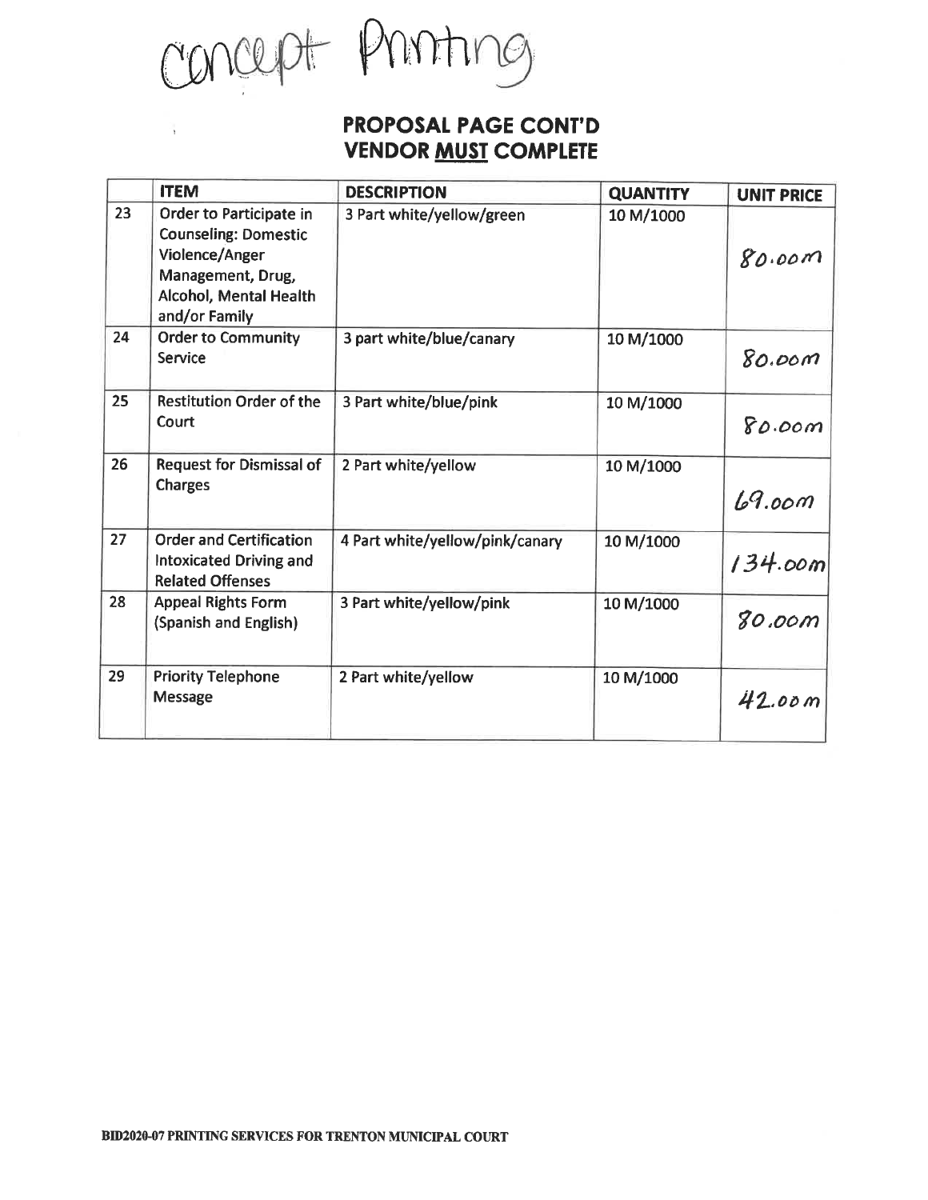concept Printing

### PROPOSAL PAGE CONT'D **VENDOR MUST COMPLETE**

|    | <b>ITEM</b>                                                                                                                              | <b>DESCRIPTION</b>              | <b>QUANTITY</b> | <b>UNIT PRICE</b> |
|----|------------------------------------------------------------------------------------------------------------------------------------------|---------------------------------|-----------------|-------------------|
| 23 | Order to Participate in<br><b>Counseling: Domestic</b><br>Violence/Anger<br>Management, Drug,<br>Alcohol, Mental Health<br>and/or Family | 3 Part white/yellow/green       | 10 M/1000       | 80.00m            |
| 24 | <b>Order to Community</b><br>Service                                                                                                     | 3 part white/blue/canary        | 10 M/1000       | 80.000            |
| 25 | <b>Restitution Order of the</b><br>Court                                                                                                 | 3 Part white/blue/pink          | 10 M/1000       | 80.00m            |
| 26 | <b>Request for Dismissal of</b><br><b>Charges</b>                                                                                        | 2 Part white/yellow             | 10 M/1000       | 69.00m            |
| 27 | <b>Order and Certification</b><br>Intoxicated Driving and<br><b>Related Offenses</b>                                                     | 4 Part white/yellow/pink/canary | 10 M/1000       | 134.00m           |
| 28 | <b>Appeal Rights Form</b><br>(Spanish and English)                                                                                       | 3 Part white/yellow/pink        | 10 M/1000       | 80.00m            |
| 29 | <b>Priority Telephone</b><br>Message                                                                                                     | 2 Part white/yellow             | 10 M/1000       | 42.00m            |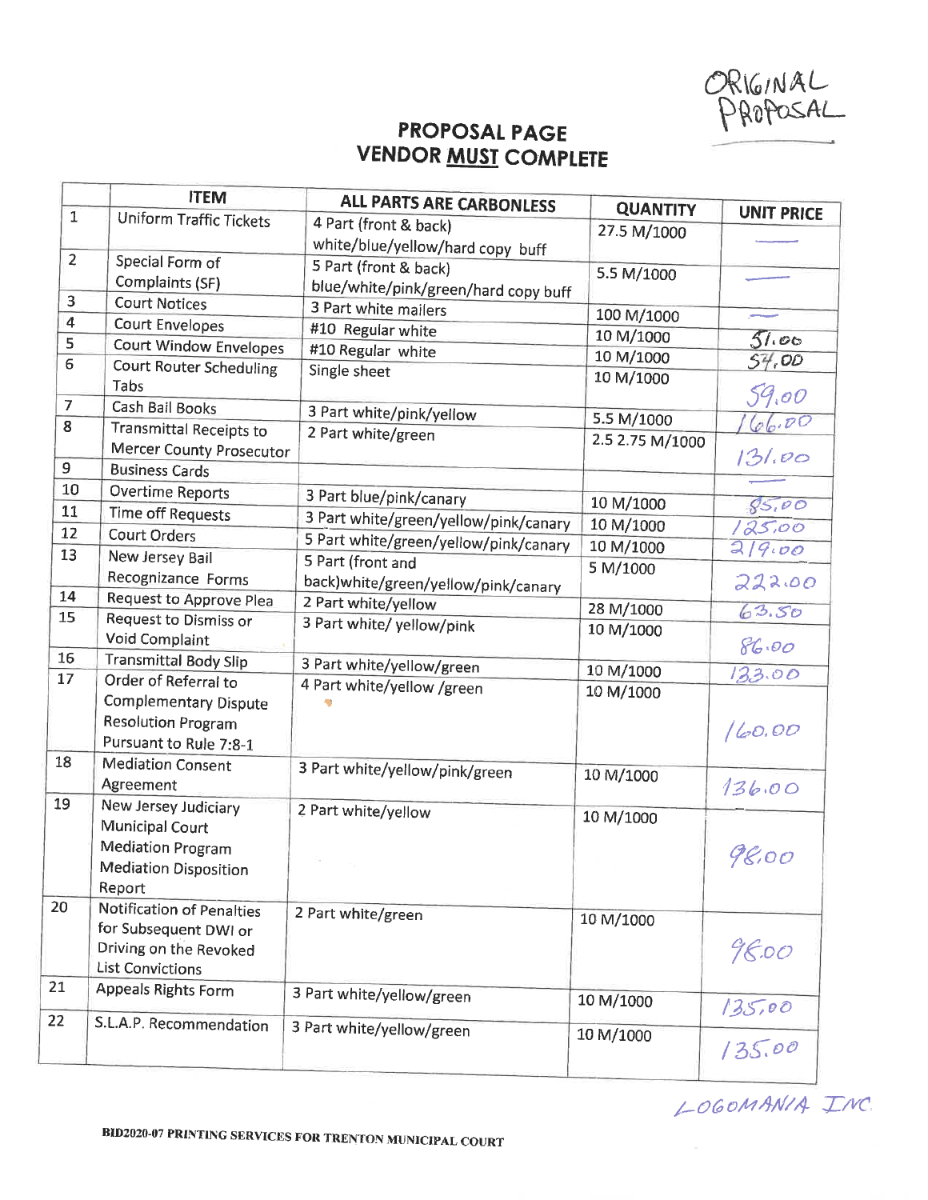ORIGINAL<br>PROPOSAL

## PROPOSAL PAGE **VENDOR MUST COMPLETE**

|                | <b>ITEM</b>                                      | <b>ALL PARTS ARE CARBONLESS</b>       | <b>QUANTITY</b> |                         |
|----------------|--------------------------------------------------|---------------------------------------|-----------------|-------------------------|
| $\mathbf{1}$   | <b>Uniform Traffic Tickets</b>                   | 4 Part (front & back)                 | 27.5 M/1000     | <b>UNIT PRICE</b>       |
|                |                                                  | white/blue/yellow/hard copy buff      |                 |                         |
| $\overline{2}$ | Special Form of                                  | 5 Part (front & back)                 |                 |                         |
|                | Complaints (SF)                                  | blue/white/pink/green/hard copy buff  | 5.5 M/1000      |                         |
| 3              | <b>Court Notices</b>                             | 3 Part white mailers                  |                 |                         |
| $\overline{4}$ | <b>Court Envelopes</b>                           | #10 Regular white                     | 100 M/1000      |                         |
| 5              | Court Window Envelopes                           | #10 Regular white                     | 10 M/1000       | 51.00                   |
| 6              | Court Router Scheduling                          | Single sheet                          | 10 M/1000       | 57,00                   |
|                | Tabs                                             |                                       | 10 M/1000       | 59.00                   |
| $\overline{7}$ | Cash Bail Books                                  | 3 Part white/pink/yellow              |                 |                         |
| 8              | <b>Transmittal Receipts to</b>                   | 2 Part white/green                    | 5.5 M/1000      | 66.00                   |
|                | Mercer County Prosecutor                         |                                       | 2.5 2.75 M/1000 |                         |
| 9              | <b>Business Cards</b>                            |                                       |                 | 131.00                  |
| 10             | <b>Overtime Reports</b>                          |                                       |                 |                         |
| 11             | <b>Time off Requests</b>                         | 3 Part blue/pink/canary               | 10 M/1000       | 85,00                   |
| 12             | <b>Court Orders</b>                              | 3 Part white/green/yellow/pink/canary | 10 M/1000       | 125,00                  |
| 13             | New Jersey Bail                                  | 5 Part white/green/yellow/pink/canary | 10 M/1000       | 219.00                  |
|                | Recognizance Forms                               | 5 Part (front and                     | 5 M/1000        |                         |
| 14             |                                                  | back)white/green/yellow/pink/canary   |                 | 222.00                  |
| 15             | Request to Approve Plea<br>Request to Dismiss or | 2 Part white/yellow                   | 28 M/1000       | 63.50                   |
|                | Void Complaint                                   | 3 Part white/ yellow/pink             | 10 M/1000       |                         |
| 16             | <b>Transmittal Body Slip</b>                     |                                       |                 | 86.00                   |
| 17             | Order of Referral to                             | 3 Part white/yellow/green             | 10 M/1000       | 133.00                  |
|                | Complementary Dispute                            | 4 Part white/yellow /green            | 10 M/1000       |                         |
|                | <b>Resolution Program</b>                        |                                       |                 |                         |
|                | Pursuant to Rule 7:8-1                           |                                       |                 | 160.00                  |
| 18             | <b>Mediation Consent</b>                         |                                       |                 |                         |
|                | Agreement                                        | 3 Part white/yellow/pink/green        | 10 M/1000       | 136.00                  |
| 19             | New Jersey Judiciary                             |                                       |                 |                         |
|                | Municipal Court                                  | 2 Part white/yellow                   | 10 M/1000       |                         |
|                | <b>Mediation Program</b>                         |                                       |                 |                         |
|                | <b>Mediation Disposition</b>                     |                                       |                 | 98.00                   |
|                | Report                                           |                                       |                 |                         |
| 20             | <b>Notification of Penalties</b>                 |                                       |                 |                         |
|                | for Subsequent DWI or                            | 2 Part white/green                    | 10 M/1000       |                         |
|                | Driving on the Revoked                           |                                       |                 | 98.00                   |
|                | <b>List Convictions</b>                          |                                       |                 |                         |
|                | Appeals Rights Form                              | 3 Part white/yellow/green             |                 |                         |
|                |                                                  |                                       | 10 M/1000       | $\frac{135.00}{135.00}$ |
|                | S.L.A.P. Recommendation                          | 3 Part white/yellow/green             | 10 M/1000       |                         |
|                |                                                  |                                       |                 |                         |

LOGOMANIA INC.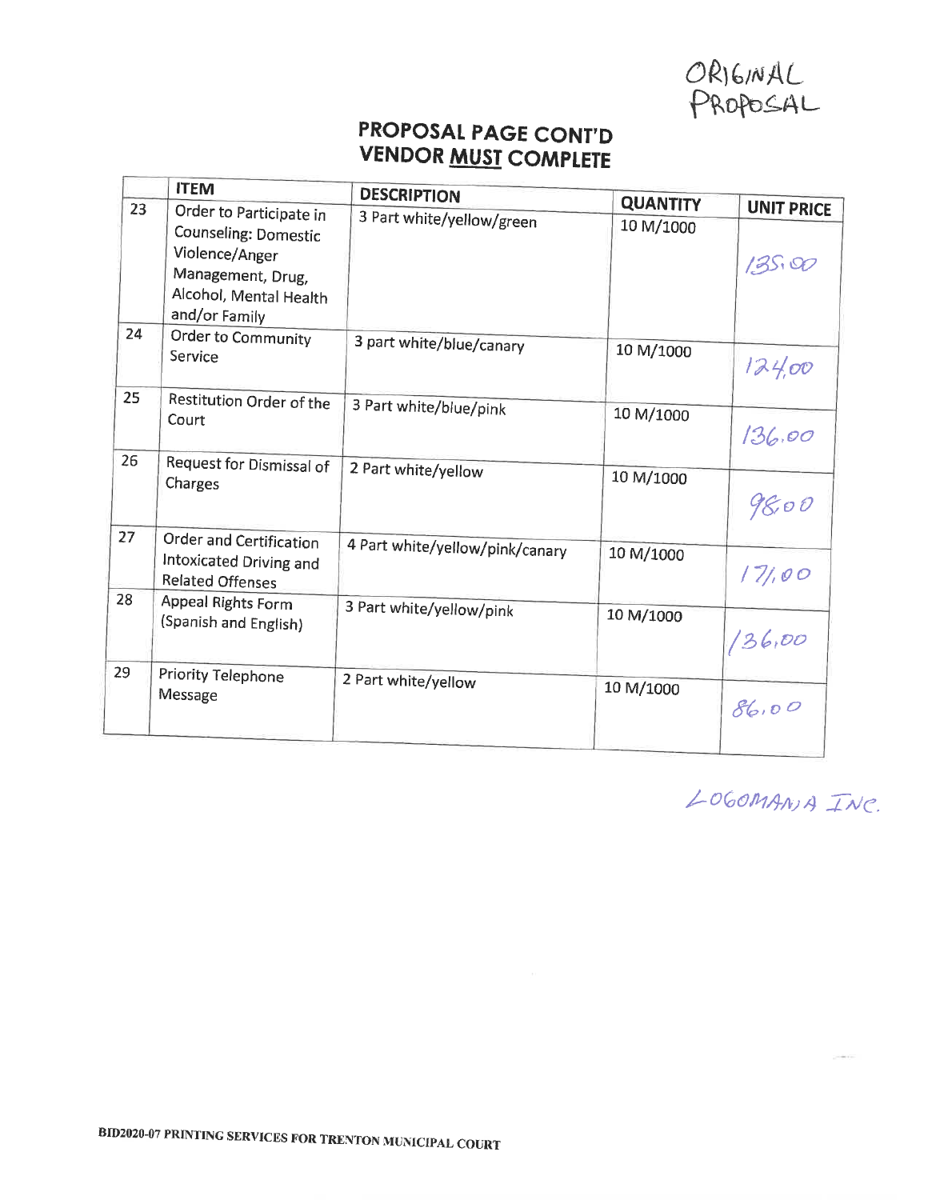ORIGINAL<br>PROPOSAL

# PROPOSAL PAGE CONT'D **VENDOR MUST COMPLETE**

|    | <b>ITEM</b>                                                                                                                       | <b>DESCRIPTION</b>              |                              |                            |
|----|-----------------------------------------------------------------------------------------------------------------------------------|---------------------------------|------------------------------|----------------------------|
| 23 | Order to Participate in<br>Counseling: Domestic<br>Violence/Anger<br>Management, Drug,<br>Alcohol, Mental Health<br>and/or Family | 3 Part white/yellow/green       | <b>QUANTITY</b><br>10 M/1000 | <b>UNIT PRICE</b><br>13500 |
| 24 | Order to Community<br>Service                                                                                                     | 3 part white/blue/canary        | 10 M/1000                    | 124,00                     |
| 25 | Restitution Order of the<br>Court                                                                                                 | 3 Part white/blue/pink          | 10 M/1000                    | 136.00                     |
| 26 | Request for Dismissal of<br>Charges                                                                                               | 2 Part white/yellow             | 10 M/1000                    | 98,00                      |
| 27 | Order and Certification<br>Intoxicated Driving and<br>Related Offenses                                                            | 4 Part white/yellow/pink/canary | 10 M/1000                    | 171,00                     |
| 28 | Appeal Rights Form<br>(Spanish and English)                                                                                       | 3 Part white/yellow/pink        | 10 M/1000                    | 136,00                     |
| 29 | Priority Telephone<br>Message                                                                                                     | 2 Part white/yellow             | 10 M/1000                    | 86.00                      |

LOGOMANIA INC.